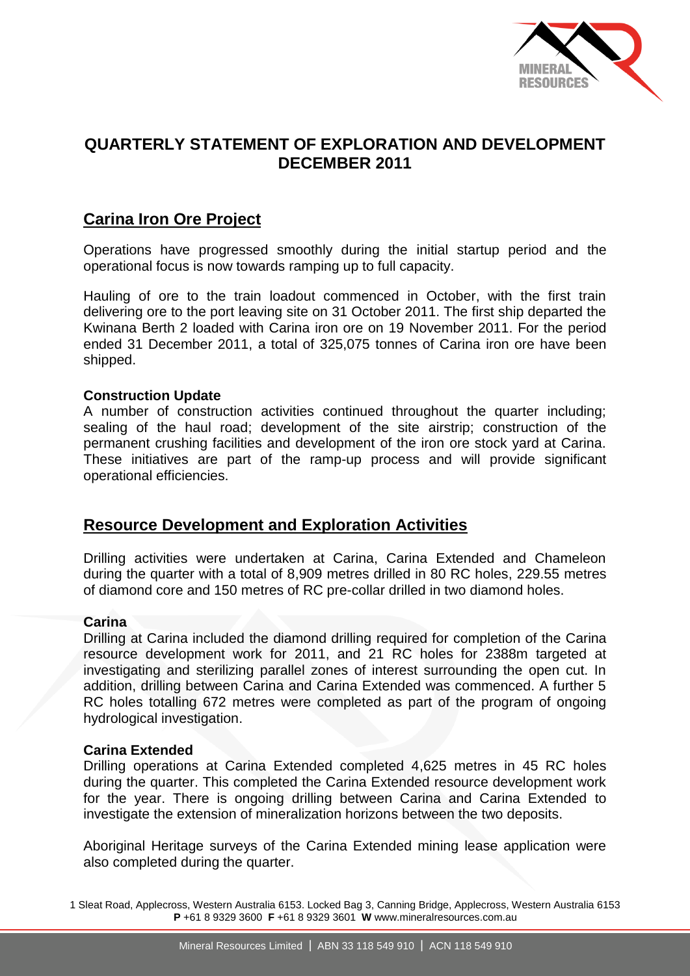

# **QUARTERLY STATEMENT OF EXPLORATION AND DEVELOPMENT DECEMBER 2011**

# **Carina Iron Ore Project**

Operations have progressed smoothly during the initial startup period and the operational focus is now towards ramping up to full capacity.

Hauling of ore to the train loadout commenced in October, with the first train delivering ore to the port leaving site on 31 October 2011. The first ship departed the Kwinana Berth 2 loaded with Carina iron ore on 19 November 2011. For the period ended 31 December 2011, a total of 325,075 tonnes of Carina iron ore have been shipped.

### **Construction Update**

A number of construction activities continued throughout the quarter including; sealing of the haul road; development of the site airstrip; construction of the permanent crushing facilities and development of the iron ore stock yard at Carina. These initiatives are part of the ramp-up process and will provide significant operational efficiencies.

# **Resource Development and Exploration Activities**

Drilling activities were undertaken at Carina, Carina Extended and Chameleon during the quarter with a total of 8,909 metres drilled in 80 RC holes, 229.55 metres of diamond core and 150 metres of RC pre-collar drilled in two diamond holes.

### **Carina**

Drilling at Carina included the diamond drilling required for completion of the Carina resource development work for 2011, and 21 RC holes for 2388m targeted at investigating and sterilizing parallel zones of interest surrounding the open cut. In addition, drilling between Carina and Carina Extended was commenced. A further 5 RC holes totalling 672 metres were completed as part of the program of ongoing hydrological investigation.

### **Carina Extended**

Drilling operations at Carina Extended completed 4,625 metres in 45 RC holes during the quarter. This completed the Carina Extended resource development work for the year. There is ongoing drilling between Carina and Carina Extended to investigate the extension of mineralization horizons between the two deposits.

Aboriginal Heritage surveys of the Carina Extended mining lease application were also completed during the quarter.

1 Sleat Road, Applecross, Western Australia 6153. Locked Bag 3, Canning Bridge, Applecross, Western Australia 6153 **P** +61 8 9329 3600 **F** +61 8 9329 3601 **W** www.mineralresources.com.au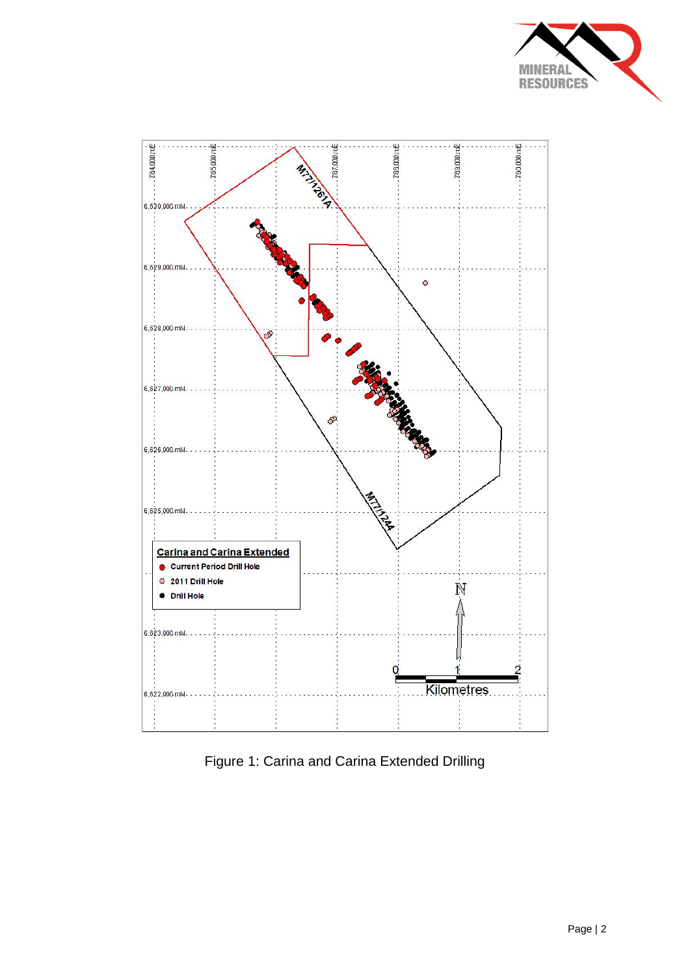



Figure 1: Carina and Carina Extended Drilling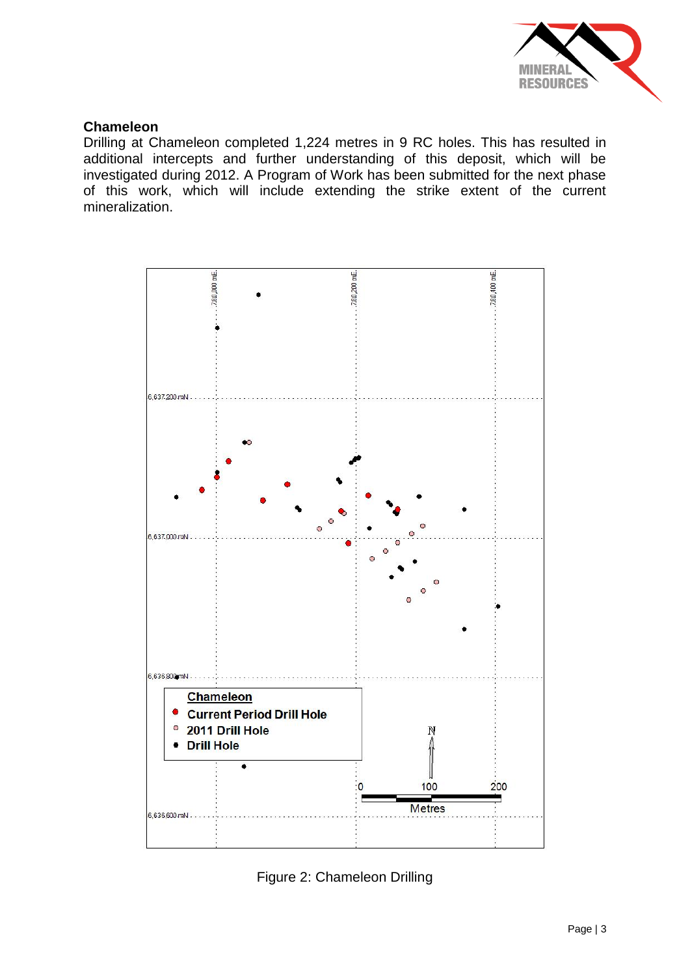

## **Chameleon**

Drilling at Chameleon completed 1,224 metres in 9 RC holes. This has resulted in additional intercepts and further understanding of this deposit, which will be investigated during 2012. A Program of Work has been submitted for the next phase of this work, which will include extending the strike extent of the current mineralization.



Figure 2: Chameleon Drilling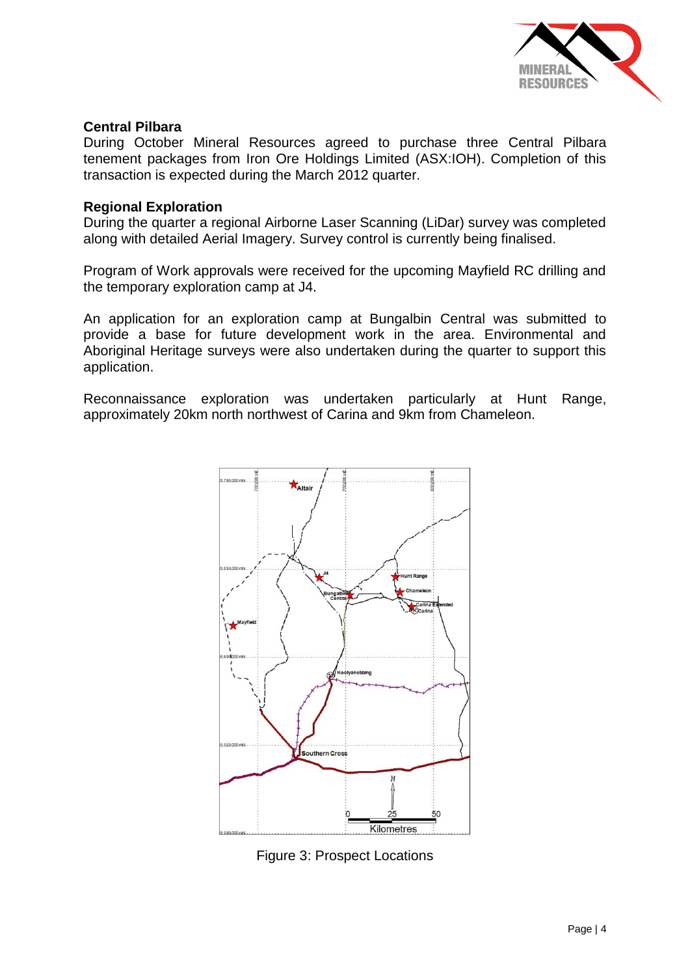

### **Central Pilbara**

During October Mineral Resources agreed to purchase three Central Pilbara tenement packages from Iron Ore Holdings Limited (ASX:IOH). Completion of this transaction is expected during the March 2012 quarter.

### **Regional Exploration**

During the quarter a regional Airborne Laser Scanning (LiDar) survey was completed along with detailed Aerial Imagery. Survey control is currently being finalised.

Program of Work approvals were received for the upcoming Mayfield RC drilling and the temporary exploration camp at J4.

An application for an exploration camp at Bungalbin Central was submitted to provide a base for future development work in the area. Environmental and Aboriginal Heritage surveys were also undertaken during the quarter to support this application.

Reconnaissance exploration was undertaken particularly at Hunt Range, approximately 20km north northwest of Carina and 9km from Chameleon.



Figure 3: Prospect Locations